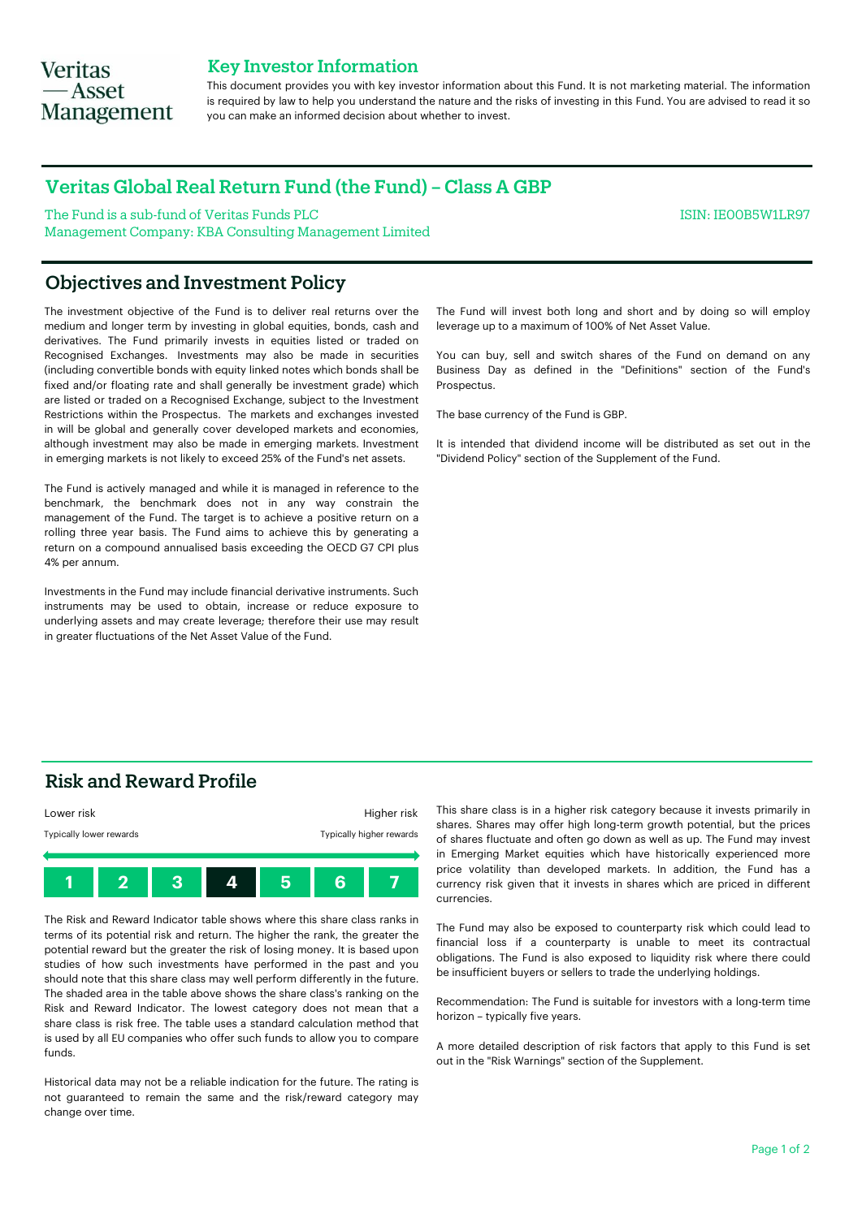## **Veritas** — Asset **Management**

### Key Investor Information

This document provides you with key investor information about this Fund. It is not marketing material. The information is required by law to help you understand the nature and the risks of investing in this Fund. You are advised to read it so you can make an informed decision about whether to invest.

## Veritas Global Real Return Fund (the Fund) – Class A GBP

The Fund is a sub-fund of Veritas Funds PLC Management Company: KBA Consulting Management Limited ISIN: IE00B5W1LR97

## Objectives and Investment Policy

The investment objective of the Fund is to deliver real returns over the medium and longer term by investing in global equities, bonds, cash and derivatives. The Fund primarily invests in equities listed or traded on Recognised Exchanges. Investments may also be made in securities (including convertible bonds with equity linked notes which bonds shall be fixed and/or floating rate and shall generally be investment grade) which are listed or traded on a Recognised Exchange, subject to the Investment Restrictions within the Prospectus. The markets and exchanges invested in will be global and generally cover developed markets and economies, although investment may also be made in emerging markets. Investment in emerging markets is not likely to exceed 25% of the Fund's net assets.

The Fund is actively managed and while it is managed in reference to the benchmark, the benchmark does not in any way constrain the management of the Fund. The target is to achieve a positive return on a rolling three year basis. The Fund aims to achieve this by generating a return on a compound annualised basis exceeding the OECD G7 CPI plus 4% per annum.

Investments in the Fund may include financial derivative instruments. Such instruments may be used to obtain, increase or reduce exposure to underlying assets and may create leverage; therefore their use may result in greater fluctuations of the Net Asset Value of the Fund.

The Fund will invest both long and short and by doing so will employ leverage up to a maximum of 100% of Net Asset Value.

You can buy, sell and switch shares of the Fund on demand on any Business Day as defined in the "Definitions" section of the Fund's Prospectus.

The base currency of the Fund is GBP.

It is intended that dividend income will be distributed as set out in the "Dividend Policy" section of the Supplement of the Fund.

## Risk and Reward Profile



The Risk and Reward Indicator table shows where this share class ranks in terms of its potential risk and return. The higher the rank, the greater the potential reward but the greater the risk of losing money. It is based upon studies of how such investments have performed in the past and you should note that this share class may well perform differently in the future. The shaded area in the table above shows the share class's ranking on the Risk and Reward Indicator. The lowest category does not mean that a share class is risk free. The table uses a standard calculation method that is used by all EU companies who offer such funds to allow you to compare funds.

Historical data may not be a reliable indication for the future. The rating is not guaranteed to remain the same and the risk/reward category may change over time.

This share class is in a higher risk category because it invests primarily in shares. Shares may offer high long-term growth potential, but the prices of shares fluctuate and often go down as well as up. The Fund may invest in Emerging Market equities which have historically experienced more price volatility than developed markets. In addition, the Fund has a currency risk given that it invests in shares which are priced in different currencies.

The Fund may also be exposed to counterparty risk which could lead to financial loss if a counterparty is unable to meet its contractual obligations. The Fund is also exposed to liquidity risk where there could be insufficient buyers or sellers to trade the underlying holdings.

Recommendation: The Fund is suitable for investors with a long-term time horizon – typically five years.

A more detailed description of risk factors that apply to this Fund is set out in the "Risk Warnings" section of the Supplement.